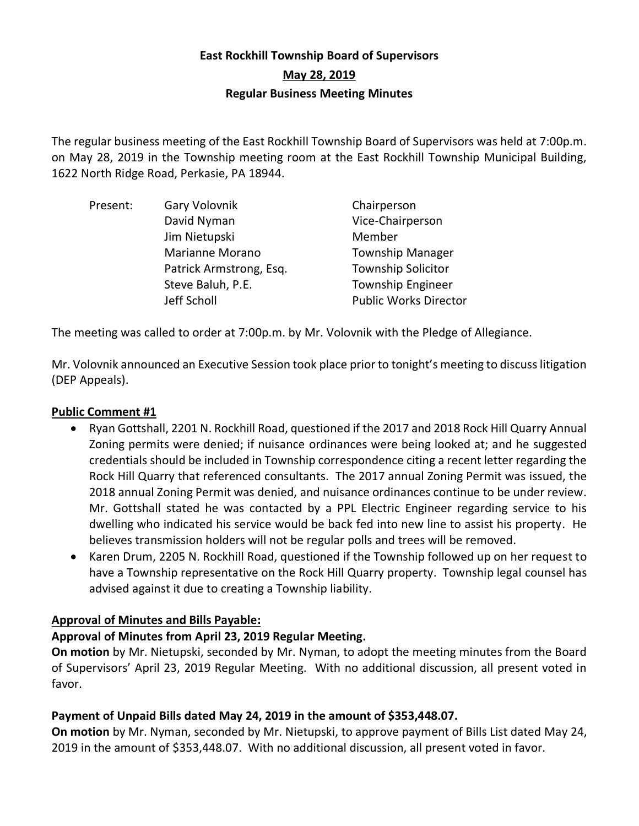# **East Rockhill Township Board of Supervisors May 28, 2019 Regular Business Meeting Minutes**

The regular business meeting of the East Rockhill Township Board of Supervisors was held at 7:00p.m. on May 28, 2019 in the Township meeting room at the East Rockhill Township Municipal Building, 1622 North Ridge Road, Perkasie, PA 18944.

| Present: | Gary Volovnik           | Chairperson                  |
|----------|-------------------------|------------------------------|
|          | David Nyman             | Vice-Chairperson             |
|          | Jim Nietupski           | Member                       |
|          | Marianne Morano         | <b>Township Manager</b>      |
|          | Patrick Armstrong, Esq. | <b>Township Solicitor</b>    |
|          | Steve Baluh, P.E.       | <b>Township Engineer</b>     |
|          | Jeff Scholl             | <b>Public Works Director</b> |

The meeting was called to order at 7:00p.m. by Mr. Volovnik with the Pledge of Allegiance.

Mr. Volovnik announced an Executive Session took place prior to tonight's meeting to discuss litigation (DEP Appeals).

# **Public Comment #1**

- Ryan Gottshall, 2201 N. Rockhill Road, questioned if the 2017 and 2018 Rock Hill Quarry Annual Zoning permits were denied; if nuisance ordinances were being looked at; and he suggested credentials should be included in Township correspondence citing a recent letter regarding the Rock Hill Quarry that referenced consultants. The 2017 annual Zoning Permit was issued, the 2018 annual Zoning Permit was denied, and nuisance ordinances continue to be under review. Mr. Gottshall stated he was contacted by a PPL Electric Engineer regarding service to his dwelling who indicated his service would be back fed into new line to assist his property. He believes transmission holders will not be regular polls and trees will be removed.
- Karen Drum, 2205 N. Rockhill Road, questioned if the Township followed up on her request to have a Township representative on the Rock Hill Quarry property. Township legal counsel has advised against it due to creating a Township liability.

# **Approval of Minutes and Bills Payable:**

### **Approval of Minutes from April 23, 2019 Regular Meeting.**

**On motion** by Mr. Nietupski, seconded by Mr. Nyman, to adopt the meeting minutes from the Board of Supervisors' April 23, 2019 Regular Meeting. With no additional discussion, all present voted in favor.

# **Payment of Unpaid Bills dated May 24, 2019 in the amount of \$353,448.07.**

**On motion** by Mr. Nyman, seconded by Mr. Nietupski, to approve payment of Bills List dated May 24, 2019 in the amount of \$353,448.07. With no additional discussion, all present voted in favor.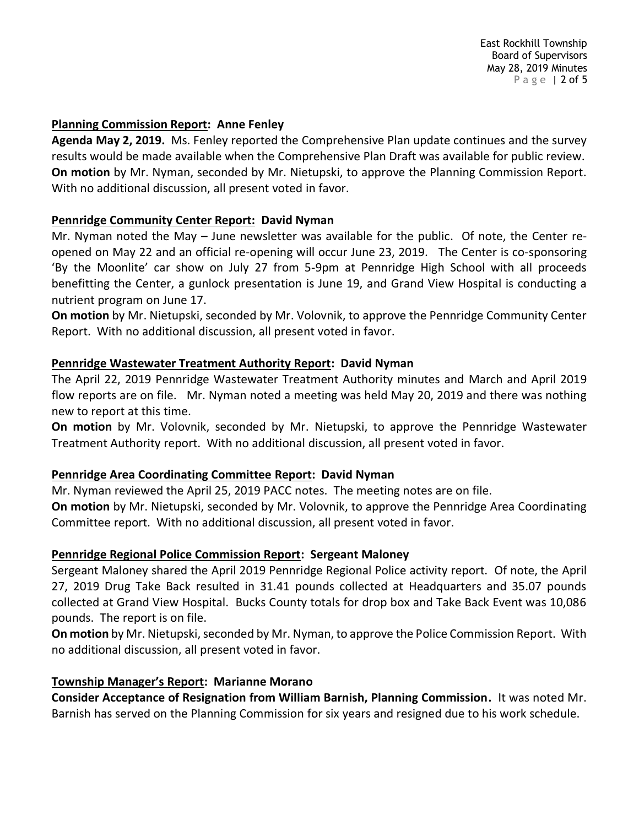East Rockhill Township Board of Supervisors May 28, 2019 Minutes P a g e | 2 of 5

#### **Planning Commission Report: Anne Fenley**

**Agenda May 2, 2019.** Ms. Fenley reported the Comprehensive Plan update continues and the survey results would be made available when the Comprehensive Plan Draft was available for public review. **On motion** by Mr. Nyman, seconded by Mr. Nietupski, to approve the Planning Commission Report. With no additional discussion, all present voted in favor.

#### **Pennridge Community Center Report: David Nyman**

Mr. Nyman noted the May – June newsletter was available for the public. Of note, the Center reopened on May 22 and an official re-opening will occur June 23, 2019. The Center is co-sponsoring 'By the Moonlite' car show on July 27 from 5-9pm at Pennridge High School with all proceeds benefitting the Center, a gunlock presentation is June 19, and Grand View Hospital is conducting a nutrient program on June 17.

**On motion** by Mr. Nietupski, seconded by Mr. Volovnik, to approve the Pennridge Community Center Report. With no additional discussion, all present voted in favor.

#### **Pennridge Wastewater Treatment Authority Report: David Nyman**

The April 22, 2019 Pennridge Wastewater Treatment Authority minutes and March and April 2019 flow reports are on file. Mr. Nyman noted a meeting was held May 20, 2019 and there was nothing new to report at this time.

**On motion** by Mr. Volovnik, seconded by Mr. Nietupski, to approve the Pennridge Wastewater Treatment Authority report. With no additional discussion, all present voted in favor.

#### **Pennridge Area Coordinating Committee Report: David Nyman**

Mr. Nyman reviewed the April 25, 2019 PACC notes. The meeting notes are on file.

**On motion** by Mr. Nietupski, seconded by Mr. Volovnik, to approve the Pennridge Area Coordinating Committee report. With no additional discussion, all present voted in favor.

#### **Pennridge Regional Police Commission Report: Sergeant Maloney**

Sergeant Maloney shared the April 2019 Pennridge Regional Police activity report. Of note, the April 27, 2019 Drug Take Back resulted in 31.41 pounds collected at Headquarters and 35.07 pounds collected at Grand View Hospital. Bucks County totals for drop box and Take Back Event was 10,086 pounds. The report is on file.

**On motion** by Mr. Nietupski, seconded by Mr. Nyman, to approve the Police Commission Report. With no additional discussion, all present voted in favor.

#### **Township Manager's Report: Marianne Morano**

**Consider Acceptance of Resignation from William Barnish, Planning Commission.** It was noted Mr. Barnish has served on the Planning Commission for six years and resigned due to his work schedule.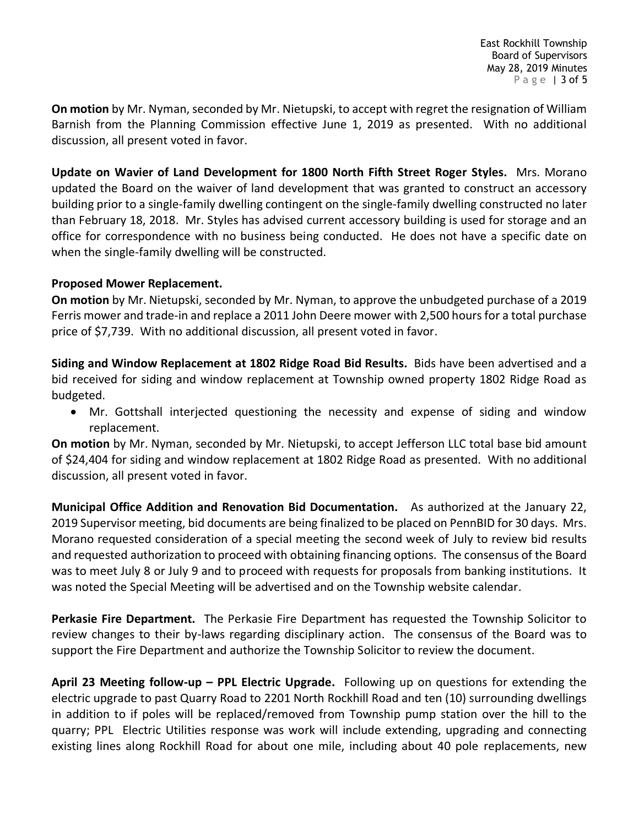**On motion** by Mr. Nyman, seconded by Mr. Nietupski, to accept with regret the resignation of William Barnish from the Planning Commission effective June 1, 2019 as presented. With no additional discussion, all present voted in favor.

**Update on Wavier of Land Development for 1800 North Fifth Street Roger Styles.** Mrs. Morano updated the Board on the waiver of land development that was granted to construct an accessory building prior to a single-family dwelling contingent on the single-family dwelling constructed no later than February 18, 2018. Mr. Styles has advised current accessory building is used for storage and an office for correspondence with no business being conducted. He does not have a specific date on when the single-family dwelling will be constructed.

### **Proposed Mower Replacement.**

**On motion** by Mr. Nietupski, seconded by Mr. Nyman, to approve the unbudgeted purchase of a 2019 Ferris mower and trade-in and replace a 2011 John Deere mower with 2,500 hours for a total purchase price of \$7,739. With no additional discussion, all present voted in favor.

**Siding and Window Replacement at 1802 Ridge Road Bid Results.** Bids have been advertised and a bid received for siding and window replacement at Township owned property 1802 Ridge Road as budgeted.

• Mr. Gottshall interjected questioning the necessity and expense of siding and window replacement.

**On motion** by Mr. Nyman, seconded by Mr. Nietupski, to accept Jefferson LLC total base bid amount of \$24,404 for siding and window replacement at 1802 Ridge Road as presented. With no additional discussion, all present voted in favor.

**Municipal Office Addition and Renovation Bid Documentation.** As authorized at the January 22, 2019 Supervisor meeting, bid documents are being finalized to be placed on PennBID for 30 days. Mrs. Morano requested consideration of a special meeting the second week of July to review bid results and requested authorization to proceed with obtaining financing options. The consensus of the Board was to meet July 8 or July 9 and to proceed with requests for proposals from banking institutions. It was noted the Special Meeting will be advertised and on the Township website calendar.

**Perkasie Fire Department.** The Perkasie Fire Department has requested the Township Solicitor to review changes to their by-laws regarding disciplinary action. The consensus of the Board was to support the Fire Department and authorize the Township Solicitor to review the document.

**April 23 Meeting follow-up – PPL Electric Upgrade.** Following up on questions for extending the electric upgrade to past Quarry Road to 2201 North Rockhill Road and ten (10) surrounding dwellings in addition to if poles will be replaced/removed from Township pump station over the hill to the quarry; PPL Electric Utilities response was work will include extending, upgrading and connecting existing lines along Rockhill Road for about one mile, including about 40 pole replacements, new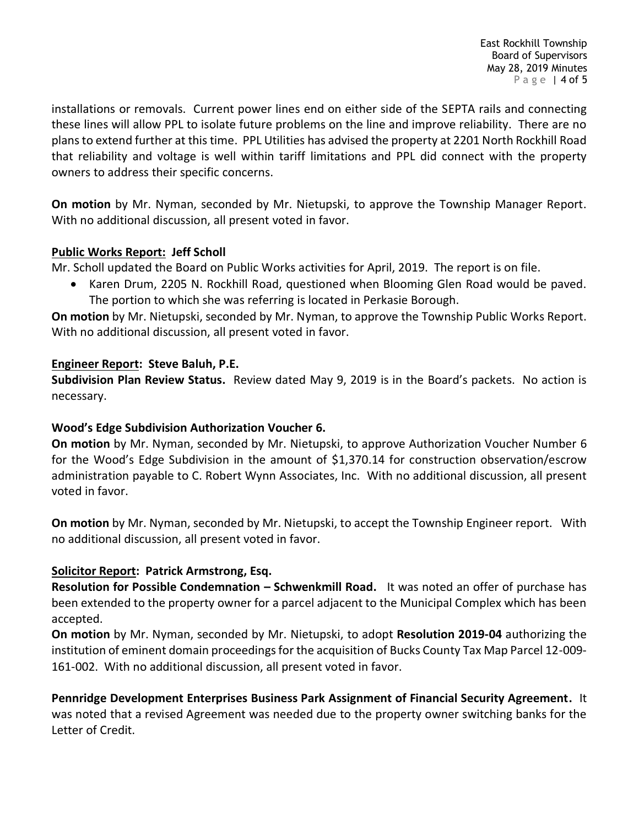installations or removals. Current power lines end on either side of the SEPTA rails and connecting these lines will allow PPL to isolate future problems on the line and improve reliability. There are no plans to extend further at this time. PPL Utilities has advised the property at 2201 North Rockhill Road that reliability and voltage is well within tariff limitations and PPL did connect with the property owners to address their specific concerns.

**On motion** by Mr. Nyman, seconded by Mr. Nietupski, to approve the Township Manager Report. With no additional discussion, all present voted in favor.

### **Public Works Report: Jeff Scholl**

Mr. Scholl updated the Board on Public Works activities for April, 2019. The report is on file.

• Karen Drum, 2205 N. Rockhill Road, questioned when Blooming Glen Road would be paved. The portion to which she was referring is located in Perkasie Borough.

**On motion** by Mr. Nietupski, seconded by Mr. Nyman, to approve the Township Public Works Report. With no additional discussion, all present voted in favor.

### **Engineer Report: Steve Baluh, P.E.**

**Subdivision Plan Review Status.** Review dated May 9, 2019 is in the Board's packets. No action is necessary.

### **Wood's Edge Subdivision Authorization Voucher 6.**

**On motion** by Mr. Nyman, seconded by Mr. Nietupski, to approve Authorization Voucher Number 6 for the Wood's Edge Subdivision in the amount of \$1,370.14 for construction observation/escrow administration payable to C. Robert Wynn Associates, Inc. With no additional discussion, all present voted in favor.

**On motion** by Mr. Nyman, seconded by Mr. Nietupski, to accept the Township Engineer report. With no additional discussion, all present voted in favor.

### **Solicitor Report: Patrick Armstrong, Esq.**

**Resolution for Possible Condemnation – Schwenkmill Road.** It was noted an offer of purchase has been extended to the property owner for a parcel adjacent to the Municipal Complex which has been accepted.

**On motion** by Mr. Nyman, seconded by Mr. Nietupski, to adopt **Resolution 2019-04** authorizing the institution of eminent domain proceedings for the acquisition of Bucks County Tax Map Parcel 12-009- 161-002. With no additional discussion, all present voted in favor.

**Pennridge Development Enterprises Business Park Assignment of Financial Security Agreement.** It was noted that a revised Agreement was needed due to the property owner switching banks for the Letter of Credit.